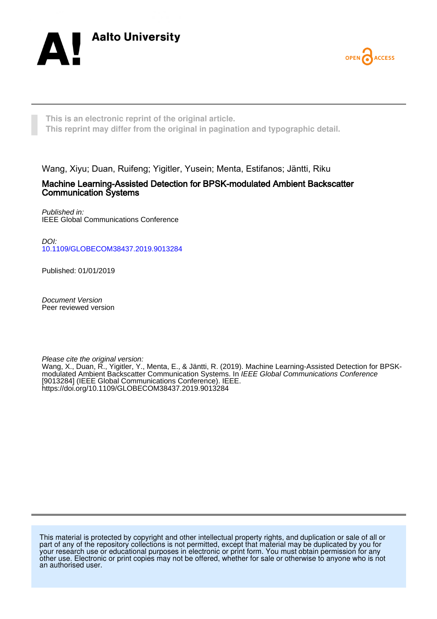



**This is an electronic reprint of the original article. This reprint may differ from the original in pagination and typographic detail.**

Wang, Xiyu; Duan, Ruifeng; Yigitler, Yusein; Menta, Estifanos; Jäntti, Riku

# Machine Learning-Assisted Detection for BPSK-modulated Ambient Backscatter Communication Systems

Published in: IEEE Global Communications Conference

DOI: [10.1109/GLOBECOM38437.2019.9013284](https://doi.org/10.1109/GLOBECOM38437.2019.9013284)

Published: 01/01/2019

Document Version Peer reviewed version

Please cite the original version:

Wang, X., Duan, R., Yigitler, Y., Menta, E., & Jäntti, R. (2019). Machine Learning-Assisted Detection for BPSKmodulated Ambient Backscatter Communication Systems. In IEEE Global Communications Conference [9013284] (IEEE Global Communications Conference). IEEE. <https://doi.org/10.1109/GLOBECOM38437.2019.9013284>

This material is protected by copyright and other intellectual property rights, and duplication or sale of all or part of any of the repository collections is not permitted, except that material may be duplicated by you for your research use or educational purposes in electronic or print form. You must obtain permission for any other use. Electronic or print copies may not be offered, whether for sale or otherwise to anyone who is not an authorised user.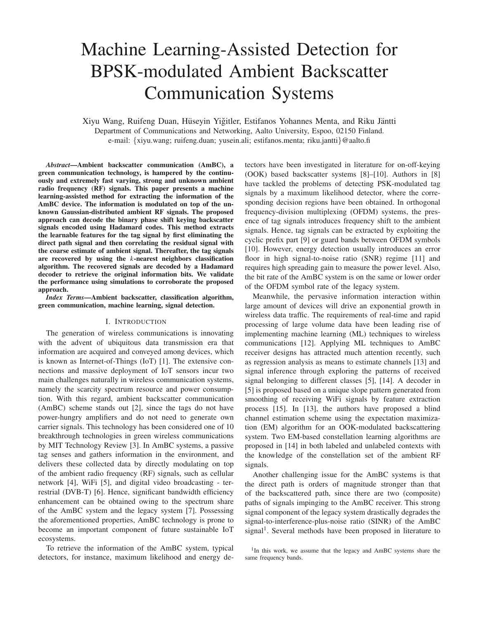# Machine Learning-Assisted Detection for BPSK-modulated Ambient Backscatter Communication Systems

Xiyu Wang, Ruifeng Duan, Hüseyin Yiğitler, Estifanos Yohannes Menta, and Riku Jäntti Department of Communications and Networking, Aalto University, Espoo, 02150 Finland. e-mail: {xiyu.wang; ruifeng.duan; yusein.ali; estifanos.menta; riku.jantti}@aalto.fi

*Abstract*—Ambient backscatter communication (AmBC), a green communication technology, is hampered by the continuously and extremely fast varying, strong and unknown ambient radio frequency (RF) signals. This paper presents a machine learning-assisted method for extracting the information of the AmBC device. The information is modulated on top of the unknown Gaussian-distributed ambient RF signals. The proposed approach can decode the binary phase shift keying backscatter signals encoded using Hadamard codes. This method extracts the learnable features for the tag signal by first eliminating the direct path signal and then correlating the residual signal with the coarse estimate of ambient signal. Thereafter, the tag signals are recovered by using the *k*-nearest neighbors classification algorithm. The recovered signals are decoded by a Hadamard decoder to retrieve the original information bits. We validate the performance using simulations to corroborate the proposed approach.

*Index Terms*—Ambient backscatter, classification algorithm, green communication, machine learning, signal detection.

#### I. INTRODUCTION

The generation of wireless communications is innovating with the advent of ubiquitous data transmission era that information are acquired and conveyed among devices, which is known as Internet-of-Things (IoT) [1]. The extensive connections and massive deployment of IoT sensors incur two main challenges naturally in wireless communication systems, namely the scarcity spectrum resource and power consumption. With this regard, ambient backscatter communication (AmBC) scheme stands out [2], since the tags do not have power-hungry amplifiers and do not need to generate own carrier signals. This technology has been considered one of 10 breakthrough technologies in green wireless communications by MIT Technology Review [3]. In AmBC systems, a passive tag senses and gathers information in the environment, and delivers these collected data by directly modulating on top of the ambient radio frequency (RF) signals, such as cellular network [4], WiFi [5], and digital video broadcasting - terrestrial (DVB-T) [6]. Hence, significant bandwidth efficiency enhancement can be obtained owing to the spectrum share of the AmBC system and the legacy system [7]. Possessing the aforementioned properties, AmBC technology is prone to become an important component of future sustainable IoT ecosystems.

To retrieve the information of the AmBC system, typical detectors, for instance, maximum likelihood and energy detectors have been investigated in literature for on-off-keying (OOK) based backscatter systems [8]–[10]. Authors in [8] have tackled the problems of detecting PSK-modulated tag signals by a maximum likelihood detector, where the corresponding decision regions have been obtained. In orthogonal frequency-division multiplexing (OFDM) systems, the presence of tag signals introduces frequency shift to the ambient signals. Hence, tag signals can be extracted by exploiting the cyclic prefix part [9] or guard bands between OFDM symbols [10]. However, energy detection usually introduces an error floor in high signal-to-noise ratio (SNR) regime [11] and requires high spreading gain to measure the power level. Also, the bit rate of the AmBC system is on the same or lower order of the OFDM symbol rate of the legacy system.

Meanwhile, the pervasive information interaction within large amount of devices will drive an exponential growth in wireless data traffic. The requirements of real-time and rapid processing of large volume data have been leading rise of implementing machine learning (ML) techniques to wireless communications [12]. Applying ML techniques to AmBC receiver designs has attracted much attention recently, such as regression analysis as means to estimate channels [13] and signal inference through exploring the patterns of received signal belonging to different classes [5], [14]. A decoder in [5] is proposed based on a unique slope pattern generated from smoothing of receiving WiFi signals by feature extraction process [15]. In [13], the authors have proposed a blind channel estimation scheme using the expectation maximization (EM) algorithm for an OOK-modulated backscattering system. Two EM-based constellation learning algorithms are proposed in [14] in both labeled and unlabeled contexts with the knowledge of the constellation set of the ambient RF signals.

Another challenging issue for the AmBC systems is that the direct path is orders of magnitude stronger than that of the backscattered path, since there are two (composite) paths of signals impinging to the AmBC receiver. This strong signal component of the legacy system drastically degrades the signal-to-interference-plus-noise ratio (SINR) of the AmBC signal<sup>1</sup>. Several methods have been proposed in literature to

<sup>&</sup>lt;sup>1</sup>In this work, we assume that the legacy and AmBC systems share the same frequency bands.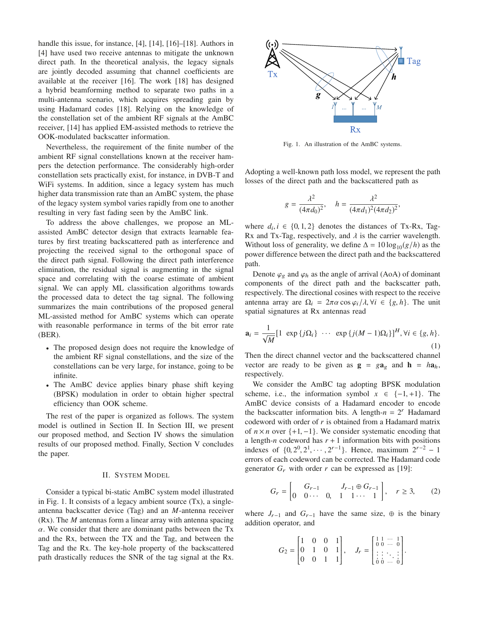handle this issue, for instance, [4], [14], [16]–[18]. Authors in [4] have used two receive antennas to mitigate the unknown direct path. In the theoretical analysis, the legacy signals are jointly decoded assuming that channel coefficients are available at the receiver [16]. The work [18] has designed a hybrid beamforming method to separate two paths in a multi-antenna scenario, which acquires spreading gain by using Hadamard codes [18]. Relying on the knowledge of the constellation set of the ambient RF signals at the AmBC receiver, [14] has applied EM-assisted methods to retrieve the OOK-modulated backscatter information.

Nevertheless, the requirement of the finite number of the ambient RF signal constellations known at the receiver hampers the detection performance. The considerably high-order constellation sets practically exist, for instance, in DVB-T and WiFi systems. In addition, since a legacy system has much higher data transmission rate than an AmBC system, the phase of the legacy system symbol varies rapidly from one to another resulting in very fast fading seen by the AmBC link.

To address the above challenges, we propose an MLassisted AmBC detector design that extracts learnable features by first treating backscattered path as interference and projecting the received signal to the orthogonal space of the direct path signal. Following the direct path interference elimination, the residual signal is augmenting in the signal space and correlating with the coarse estimate of ambient signal. We can apply ML classification algorithms towards the processed data to detect the tag signal. The following summarizes the main contributions of the proposed general ML-assisted method for AmBC systems which can operate with reasonable performance in terms of the bit error rate (BER).

- The proposed design does not require the knowledge of the ambient RF signal constellations, and the size of the constellations can be very large, for instance, going to be infinite.
- The AmBC device applies binary phase shift keying (BPSK) modulation in order to obtain higher spectral efficiency than OOK scheme.

The rest of the paper is organized as follows. The system model is outlined in Section II. In Section III, we present our proposed method, and Section IV shows the simulation results of our proposed method. Finally, Section V concludes the paper.

## II. SYSTEM MODEL

Consider a typical bi-static AmBC system model illustrated in Fig. 1. It consists of a legacy ambient source (Tx), a singleantenna backscatter device (Tag) and an *M*-antenna receiver (Rx). The *M* antennas form a linear array with antenna spacing  $\alpha$ . We consider that there are dominant paths between the Tx and the Rx, between the TX and the Tag, and between the Tag and the Rx. The key-hole property of the backscattered path drastically reduces the SNR of the tag signal at the Rx.



Fig. 1. An illustration of the AmBC systems.

Adopting a well-known path loss model, we represent the path losses of the direct path and the backscattered path as

$$
g = \frac{\lambda^2}{(4\pi d_0)^2}, \quad h = \frac{\lambda^2}{(4\pi d_1)^2 (4\pi d_2)^2},
$$

where  $d_i, i \in \{0, 1, 2\}$  denotes the distances of Tx-Rx, Tag-Rx and Tx-Tag, respectively, and  $\lambda$  is the carrier wavelength. Without loss of generality, we define  $\Delta = 10 \log_{10}(g/h)$  as the power difference between the direct path and the backscattered path.

Denote  $\varphi_g$  and  $\varphi_h$  as the angle of arrival (AoA) of dominant components of the direct path and the backscatter path, respectively. The directional cosines with respect to the receive antenna array are  $\Omega_i = 2\pi \alpha \cos \varphi_i / \lambda$ ,  $\forall i \in \{g, h\}$ . The unit spatial signatures at Rx antennas read

$$
\mathbf{a}_{i} = \frac{1}{\sqrt{M}} [1 \exp \{ j\Omega_{i} \} \cdots \exp \{ j(M-1)\Omega_{i} \}]^{H}, \forall i \in \{g, h\}.
$$
\n(1)

Then the direct channel vector and the backscattered channel vector are ready to be given as  $g = ga_g$  and  $h = ha_h$ , respectively.

We consider the AmBC tag adopting BPSK modulation scheme, i.e., the information symbol  $x \in \{-1, +1\}$ . The AmBC device consists of a Hadamard encoder to encode the backscatter information bits. A length- $n = 2<sup>r</sup>$  Hadamard codeword with order of *r* is obtained from a Hadamard matrix of  $n \times n$  over  $\{+1, -1\}$ . We consider systematic encoding that a length-*n* codeword has  $r + 1$  information bits with positions indexes of  $\{0, 2^0, 2^1, \dots, 2^{r-1}\}$ . Hence, maximum  $2^{r-2} - 1$ errors of each codeword can be corrected. The Hadamard code generator  $G_r$  with order  $r$  can be expressed as [19]:

$$
G_r = \begin{bmatrix} G_{r-1} & J_{r-1} \oplus G_{r-1} \\ 0 & 0 \cdots & 0, & 1 & 1 \cdots & 1 \end{bmatrix}, \quad r \ge 3, \qquad (2)
$$

where  $J_{r-1}$  and  $G_{r-1}$  have the same size,  $\oplus$  is the binary addition operator, and

$$
G_2 = \begin{bmatrix} 1 & 0 & 0 & 1 \\ 0 & 1 & 0 & 1 \\ 0 & 0 & 1 & 1 \end{bmatrix}, \quad J_r = \begin{bmatrix} 1 & 1 & \cdots & 1 \\ 0 & 0 & \cdots & 0 \\ \vdots & \ddots & \vdots \\ 0 & 0 & \cdots & 0 \end{bmatrix}.
$$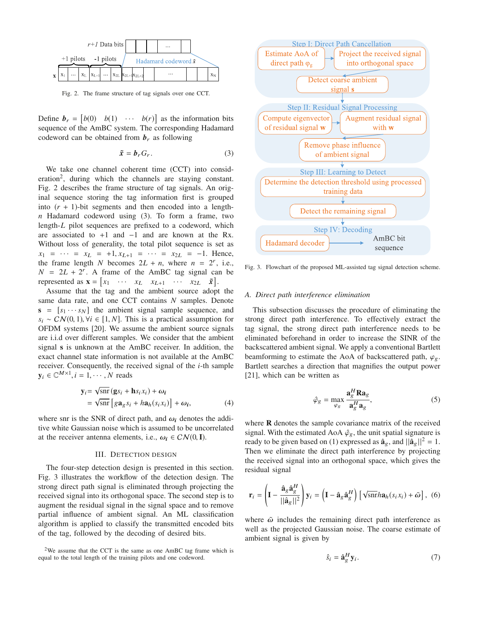

Fig. 2. The frame structure of tag signals over one CCT.

Define  $\mathbf{b}_r = \begin{bmatrix} b(0) & b(1) & \cdots & b(r) \end{bmatrix}$  as the information bits sequence of the AmBC system. The corresponding Hadamard codeword can be obtained from  $b_r$  as following

$$
\tilde{x} = b_r G_r. \tag{3}
$$

We take one channel coherent time (CCT) into consideration<sup>2</sup>, during which the channels are staying constant. Fig. 2 describes the frame structure of tag signals. An original sequence storing the tag information first is grouped into  $(r + 1)$ -bit segments and then encoded into a length*n* Hadamard codeword using (3). To form a frame, two length-*L* pilot sequences are prefixed to a codeword, which are associated to  $+1$  and  $-1$  and are known at the Rx. Without loss of generality, the total pilot sequence is set as  $x_1 = \cdots = x_L = +1, x_{L+1} = \cdots = x_{2L} = -1.$  Hence, the frame length *N* becomes  $2L + n$ , where  $n = 2^r$ , i.e.,  $N = 2L + 2r$ . A frame of the AmBC tag signal can be represented as  $\mathbf{x} = \begin{bmatrix} x_1 & \cdots & x_L & x_{L+1} & \cdots & x_{2L} & \tilde{\mathbf{x}} \end{bmatrix}$ .

Assume that the tag and the ambient source adopt the same data rate, and one CCT contains *N* samples. Denote  $s = [s_1 \cdots s_N]$  the ambient signal sample sequence, and  $s_i$  ∼ CN(0, 1),  $\forall i \in [1, N]$ . This is a practical assumption for OFDM systems [20]. We assume the ambient source signals are i.i.d over different samples. We consider that the ambient signal **s** is unknown at the AmBC receiver. In addition, the exact channel state information is not available at the AmBC receiver. Consequently, the received signal of the *i*-th sample  $y_i \in \mathbb{C}^{M \times 1}, i = 1, \cdots, N$  reads

$$
\mathbf{y}_{i} = \sqrt{\text{snr}} \left( \mathbf{g} s_{i} + \mathbf{h} s_{i} x_{i} \right) + \omega_{i}
$$
  
=  $\sqrt{\text{snr}} \left[ g \mathbf{a}_{g} s_{i} + h \mathbf{a}_{h} (s_{i} x_{i}) \right] + \omega_{i},$  (4)

where snr is the SNR of direct path, and  $\omega_i$  denotes the additive white Gaussian noise which is assumed to be uncorrelated at the receiver antenna elements, i.e.,  $\omega_i \in CN(0, I)$ .

## III. DETECTION DESIGN

The four-step detection design is presented in this section. Fig. 3 illustrates the workflow of the detection design. The strong direct path signal is eliminated through projecting the received signal into its orthogonal space. The second step is to augment the residual signal in the signal space and to remove partial influence of ambient signal. An ML classification algorithm is applied to classify the transmitted encoded bits of the tag, followed by the decoding of desired bits.



Fig. 3. Flowchart of the proposed ML-assisted tag signal detection scheme.

#### *A. Direct path interference elimination*

This subsection discusses the procedure of eliminating the strong direct path interference. To effectively extract the tag signal, the strong direct path interference needs to be eliminated beforehand in order to increase the SINR of the backscattered ambient signal. We apply a conventional Bartlett beamforming to estimate the AoA of backscattered path,  $\varphi$ <sub>o</sub>. Bartlett searches a direction that magnifies the output power [21], which can be written as

$$
\hat{\varphi}_g = \max_{\varphi_g} \frac{\mathbf{a}_g^H \mathbf{R} \mathbf{a}_g}{\mathbf{a}_g^H \mathbf{a}_g},\tag{5}
$$

where **R** denotes the sample covariance matrix of the received signal. With the estimated AoA  $\hat{\varphi}_g$ , the unit spatial signature is ready to be given based on (1) expressed as  $\hat{\mathbf{a}}_g$ , and  $||\hat{\mathbf{a}}_g||^2 = 1$ . Then we eliminate the direct path interference by projecting the received signal into an orthogonal space, which gives the residual signal

$$
\mathbf{r}_{i} = \left(\mathbf{I} - \frac{\hat{\mathbf{a}}_{g}\hat{\mathbf{a}}_{g}^{H}}{||\hat{\mathbf{a}}_{g}||^{2}}\right)\mathbf{y}_{i} = \left(\mathbf{I} - \hat{\mathbf{a}}_{g}\hat{\mathbf{a}}_{g}^{H}\right)\left[\sqrt{\sin h\mathbf{a}_{h}(s_{i}x_{i})} + \tilde{\omega}\right],
$$
 (6)

where  $\tilde{\omega}$  includes the remaining direct path interference as well as the projected Gaussian noise. The coarse estimate of ambient signal is given by

$$
\hat{s}_i = \hat{\mathbf{a}}_g^H \mathbf{y}_i. \tag{7}
$$

 $2$ We assume that the CCT is the same as one AmBC tag frame which is equal to the total length of the training pilots and one codeword.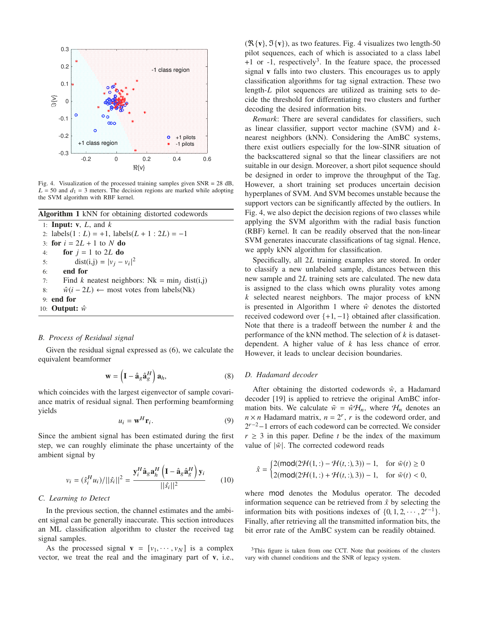

Fig. 4. Visualization of the processed training samples given  $SNR = 28$  dB,  $L = 50$  and  $d_1 = 3$  meters. The decision regions are marked while adopting the SVM algorithm with RBF kernel.

|    | Algorithm 1 kNN for obtaining distorted codewords       |
|----|---------------------------------------------------------|
|    | 1: <b>Input:</b> $v$ , $L$ , and $k$                    |
|    | 2: labels $(1 : L) = +1$ , labels $(L + 1 : 2L) = -1$   |
|    | 3: for $i = 2L + 1$ to N do                             |
| 4: | for $j = 1$ to 2L do                                    |
| 5: | $dist(i, j) =  v_i - v_i ^2$                            |
| 6: | end for                                                 |
|    | Find k neatest neighbors: Nk = $\min_i$ dist(i,j)<br>7: |
| 8: | $\hat{w}(i - 2L) \leftarrow$ most votes from labels(Nk) |
|    | $9:$ end for                                            |
|    | 10: <b>Output:</b> $\hat{w}$                            |

## *B. Process of Residual signal*

Given the residual signal expressed as (6), we calculate the equivalent beamformer

$$
\mathbf{w} = \left(\mathbf{I} - \hat{\mathbf{a}}_g \hat{\mathbf{a}}_g^H\right) \mathbf{a}_h, \tag{8}
$$

which coincides with the largest eigenvector of sample covariance matrix of residual signal. Then performing beamforming yields

$$
u_i = \mathbf{w}^H \mathbf{r}_i. \tag{9}
$$

Since the ambient signal has been estimated during the first step, we can roughly eliminate the phase uncertainty of the ambient signal by

$$
v_i = (\hat{s}_i^H u_i)/||\hat{s}_i||^2 = \frac{\mathbf{y}_i^H \hat{\mathbf{a}}_g \mathbf{a}_h^H \left( \mathbf{I} - \hat{\mathbf{a}}_g \hat{\mathbf{a}}_g^H \right) \mathbf{y}_i}{||\hat{s}_i||^2}
$$
(10)

# *C. Learning to Detect*

In the previous section, the channel estimates and the ambient signal can be generally inaccurate. This section introduces an ML classification algorithm to cluster the received tag signal samples.

As the processed signal  $\mathbf{v} = [v_1, \dots, v_N]$  is a complex vector, we treat the real and the imaginary part of **v**, i.e.,

 $(\mathcal{R}\{\mathbf{v}\}, \mathcal{I}\{\mathbf{v}\})$ , as two features. Fig. 4 visualizes two length-50 pilot sequences, each of which is associated to a class label  $+1$  or  $-1$ , respectively<sup>3</sup>. In the feature space, the processed signal **v** falls into two clusters. This encourages us to apply classification algorithms for tag signal extraction. These two length-*L* pilot sequences are utilized as training sets to decide the threshold for differentiating two clusters and further decoding the desired information bits.

*Remark*: There are several candidates for classifiers, such as linear classifier, support vector machine (SVM) and *k*nearest neighbors (kNN). Considering the AmBC systems, there exist outliers especially for the low-SINR situation of the backscattered signal so that the linear classifiers are not suitable in our design. Moreover, a short pilot sequence should be designed in order to improve the throughput of the Tag. However, a short training set produces uncertain decision hyperplanes of SVM. And SVM becomes unstable because the support vectors can be significantly affected by the outliers. In Fig. 4, we also depict the decision regions of two classes while applying the SVM algorithm with the radial basis function (RBF) kernel. It can be readily observed that the non-linear SVM generates inaccurate classifications of tag signal. Hence, we apply kNN algorithm for classification.

Specifically, all 2*L* training examples are stored. In order to classify a new unlabeled sample, distances between this new sample and 2*L* training sets are calculated. The new data is assigned to the class which owns plurality votes among *k* selected nearest neighbors. The major process of kNN is presented in Algorithm 1 where  $\hat{w}$  denotes the distorted received codeword over  $\{+1, -1\}$  obtained after classification. Note that there is a tradeoff between the number *k* and the performance of the kNN method. The selection of *k* is datasetdependent. A higher value of *k* has less chance of error. However, it leads to unclear decision boundaries.

# *D. Hadamard decoder*

After obtaining the distorted codewords  $\hat{w}$ , a Hadamard decoder [19] is applied to retrieve the original AmBC information bits. We calculate  $\tilde{w} = \hat{w} \mathcal{H}_n$ , where  $\mathcal{H}_n$  denotes an  $n \times n$  Hadamard matrix,  $n = 2^r$ , *r* is the codeword order, and  $2^{r-2}-1$  errors of each codeword can be corrected. We consider  $r \geq 3$  in this paper. Define *t* be the index of the maximum value of  $|\tilde{w}|$ . The corrected codeword reads

$$
\hat{x} = \begin{cases} 2(\text{mod}(2\mathcal{H}(1,:) - \mathcal{H}(t,:), 3)) - 1, & \text{for } \tilde{w}(t) \ge 0 \\ 2(\text{mod}(2\mathcal{H}(1,:) + \mathcal{H}(t,:), 3)) - 1, & \text{for } \tilde{w}(t) < 0, \end{cases}
$$

where mod denotes the Modulus operator. The decoded information sequence can be retrieved from  $\hat{x}$  by selecting the information bits with positions indexes of  $\{0, 1, 2, \dots, 2^{r-1}\}.$ Finally, after retrieving all the transmitted information bits, the bit error rate of the AmBC system can be readily obtained.

<sup>&</sup>lt;sup>3</sup>This figure is taken from one CCT. Note that positions of the clusters vary with channel conditions and the SNR of legacy system.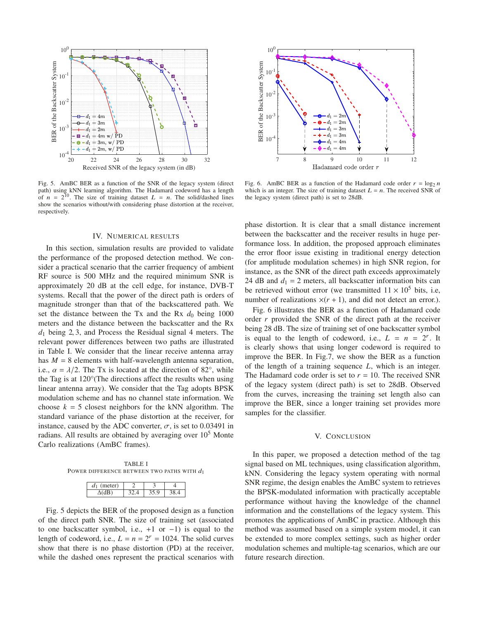

Fig. 5. AmBC BER as a function of the SNR of the legacy system (direct path) using kNN learning algorithm. The Hadamard codeword has a length of  $n = 2^{10}$ . The size of training dataset  $L = n$ . The solid/dashed lines show the scenarios without/with considering phase distortion at the receiver, respectively.

## IV. NUMERICAL RESULTS

In this section, simulation results are provided to validate the performance of the proposed detection method. We consider a practical scenario that the carrier frequency of ambient RF source is 500 MHz and the required minimum SNR is approximately 20 dB at the cell edge, for instance, DVB-T systems. Recall that the power of the direct path is orders of magnitude stronger than that of the backscattered path. We set the distance between the Tx and the Rx  $d_0$  being 1000 meters and the distance between the backscatter and the Rx *d*<sup>1</sup> being 2, 3, and Process the Residual signal 4 meters. The relevant power differences between two paths are illustrated in Table I. We consider that the linear receive antenna array has  $M = 8$  elements with half-wavelength antenna separation, i.e.,  $\alpha = \lambda/2$ . The Tx is located at the direction of 82°, while the Tag is at 120°(The directions affect the results when using linear antenna array). We consider that the Tag adopts BPSK modulation scheme and has no channel state information. We choose  $k = 5$  closest neighbors for the kNN algorithm. The standard variance of the phase distortion at the receiver, for instance, caused by the ADC converter,  $\sigma$ , is set to 0.03491 in radians. All results are obtained by averaging over  $10<sup>5</sup>$  Monte Carlo realizations (AmBC frames).

TABLE I POWER DIFFERENCE BETWEEN TWO PATHS WITH  $d_1$ 

| neter)<br>$a_1$ |  |  |
|-----------------|--|--|
|                 |  |  |

Fig. 5 depicts the BER of the proposed design as a function of the direct path SNR. The size of training set (associated to one backscatter symbol, i.e.,  $+1$  or  $-1$ ) is equal to the length of codeword, i.e.,  $L = n = 2^r = 1024$ . The solid curves show that there is no phase distortion (PD) at the receiver, while the dashed ones represent the practical scenarios with



Fig. 6. AmBC BER as a function of the Hadamard code order  $r = \log_2 n$ which is an integer. The size of training dataset  $L = n$ . The received SNR of the legacy system (direct path) is set to 28dB.

phase distortion. It is clear that a small distance increment between the backscatter and the receiver results in huge performance loss. In addition, the proposed approach eliminates the error floor issue existing in traditional energy detection (for amplitude modulation schemes) in high SNR region, for instance, as the SNR of the direct path exceeds approximately 24 dB and  $d_1 = 2$  meters, all backscatter information bits can be retrieved without error (we transmitted  $11 \times 10^5$  bits, i.e, number of realizations  $x(r + 1)$ , and did not detect an error.).

Fig. 6 illustrates the BER as a function of Hadamard code order *r* provided the SNR of the direct path at the receiver being 28 dB. The size of training set of one backscatter symbol is equal to the length of codeword, i.e.,  $L = n = 2^r$ . It is clearly shows that using longer codeword is required to improve the BER. In Fig.7, we show the BER as a function of the length of a training sequence *L*, which is an integer. The Hadamard code order is set to  $r = 10$ . The received SNR of the legacy system (direct path) is set to 28dB. Observed from the curves, increasing the training set length also can improve the BER, since a longer training set provides more samples for the classifier.

#### V. CONCLUSION

In this paper, we proposed a detection method of the tag signal based on ML techniques, using classification algorithm, kNN. Considering the legacy system operating with normal SNR regime, the design enables the AmBC system to retrieves the BPSK-modulated information with practically acceptable performance without having the knowledge of the channel information and the constellations of the legacy system. This promotes the applications of AmBC in practice. Although this method was assumed based on a simple system model, it can be extended to more complex settings, such as higher order modulation schemes and multiple-tag scenarios, which are our future research direction.